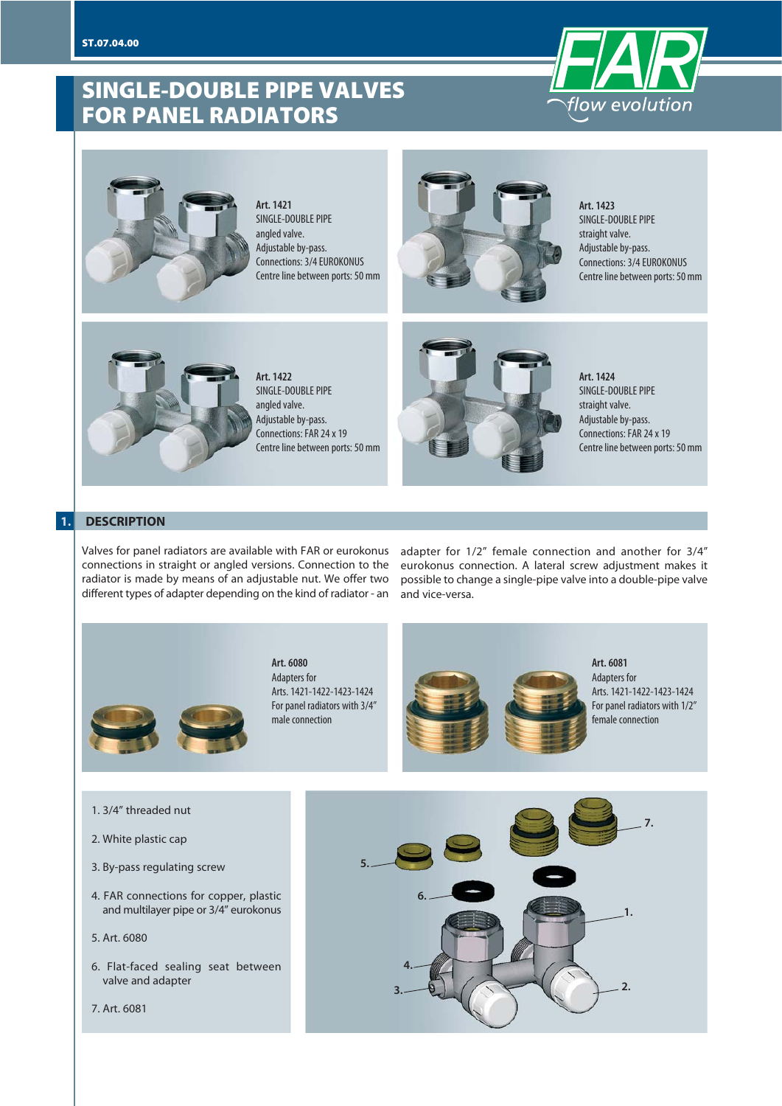### **SINGLE-DOUBLE PIPE VALVES FOR PANEL RADIATORS**





**Art. 1421** SINGLE-DOUBLE PIPE angled valve. Adjustable by-pass. Connections: 3/4 EUROKONUS Centre line between ports: 50 mm



**Art. 1423** SINGLE-DOUBLE PIPE straight valve. Adjustable by-pass. Connections: 3/4 EUROKONUS Centre line between ports: 50 mm



**Art. 1422** SINGLE-DOUBLE PIPE angled valve. Adjustable by-pass. Connections: FAR 24 x 19 Centre line between ports: 50 mm



**Art. 1424** SINGLE-DOUBLE PIPE straight valve. Adjustable by-pass. Connections: FAR 24 x 19 Centre line between ports: 50 mm

#### **1. DESCRIPTION**

Valves for panel radiators are available with FAR or eurokonus connections in straight or angled versions. Connection to the radiator is made by means of an adjustable nut. We offer two different types of adapter depending on the kind of radiator - an

adapter for 1/2" female connection and another for 3/4" eurokonus connection. A lateral screw adjustment makes it possible to change a single-pipe valve into a double-pipe valve and vice-versa.



**Art. 6080** Adapters for Arts. 1421-1422-1423-1424 For panel radiators with 3/4" male connection



Arts. 1421-1422-1423-1424 For panel radiators with 1/2"

- 1. 3/4" threaded nut
- 2. White plastic cap
- 3. By-pass regulating screw
- 4. FAR connections for copper, plastic and multilayer pipe or 3/4" eurokonus
- 5. Art. 6080
- 6. Flat-faced sealing seat between valve and adapter

7. Art. 6081